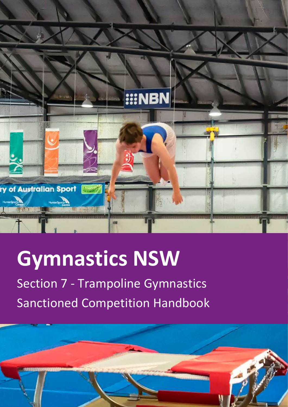

# **Gymnastics NSW**

Section 7 - Trampoline Gymnastics Sanctioned Competition Handbook

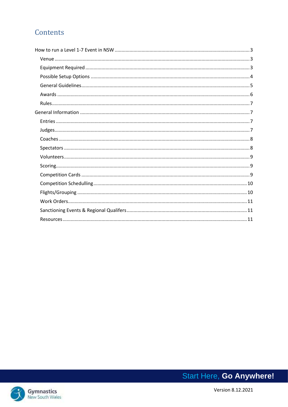# Contents

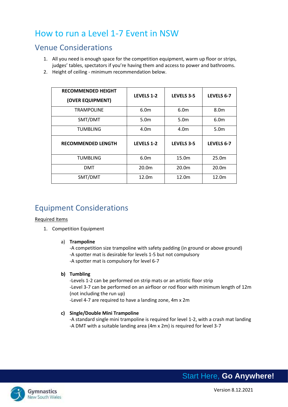# <span id="page-2-0"></span>How to run a Level 1-7 Event in NSW

## <span id="page-2-1"></span>Venue Considerations

- 1. All you need is enough space for the competition equipment, warm up floor or strips, judges' tables, spectators if you're having them and access to power and bathrooms.
- 2. Height of ceiling minimum recommendation below.

| <b>RECOMMENDED HEIGHT</b><br>(OVER EQUIPMENT) | <b>LEVELS 1-2</b> | <b>LEVELS 3-5</b> | LEVELS 6-7        |
|-----------------------------------------------|-------------------|-------------------|-------------------|
| <b>TRAMPOLINE</b>                             | 6.0 <sub>m</sub>  | 6.0 <sub>m</sub>  | 8.0 <sub>m</sub>  |
| SMT/DMT                                       | 5.0 <sub>m</sub>  | 5.0 <sub>m</sub>  | 6.0 <sub>m</sub>  |
| <b>TUMBLING</b>                               | 4.0 <sub>m</sub>  | 4.0m              | 5.0 <sub>m</sub>  |
|                                               |                   |                   |                   |
| <b>RECOMMENDED LENGTH</b>                     | <b>LEVELS 1-2</b> | <b>LEVELS 3-5</b> | LEVELS 6-7        |
| <b>TUMBLING</b>                               | 6.0 <sub>m</sub>  | 15.0m             | 25.0 <sub>m</sub> |
| <b>DMT</b>                                    | 20.0m             | 20.0m             | 20.0 <sub>m</sub> |

# <span id="page-2-2"></span>Equipment Considerations

#### Required Items

- 1. Competition Equipment
	- a) **Trampoline**

-A competition size trampoline with safety padding (in ground or above ground) -A spotter mat is desirable for levels 1-5 but not compulsory -A spotter mat is compulsory for level 6-7

#### **b) Tumbling**

-Levels 1-2 can be performed on strip mats or an artistic floor strip -Level 3-7 can be performed on an airfloor or rod floor with minimum length of 12m (not including the run up) -Level 4-7 are required to have a landing zone, 4m x 2m

#### **c) Single/Double Mini Trampoline**

-A standard single mini trampoline is required for level 1-2, with a crash mat landing -A DMT with a suitable landing area (4m x 2m) is required for level 3-7

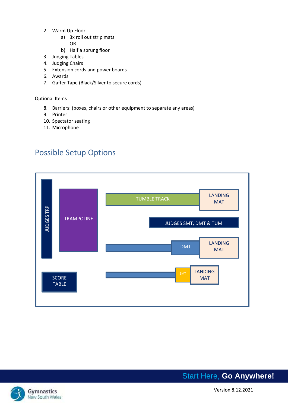- 2. Warm Up Floor
	- a) 3x roll out strip mats
		- OR
	- b) Half a sprung floor
- 3. Judging Tables
- 4. Judging Chairs
- 5. Extension cords and power boards
- 6. Awards
- 7. Gaffer Tape (Black/Silver to secure cords)

#### Optional Items

- 8. Barriers: (boxes, chairs or other equipment to separate any areas)
- 9. Printer
- 10. Spectator seating
- 11. Microphone

# <span id="page-3-0"></span>Possible Setup Options





Gymnastics **Community** Version 8.12.2021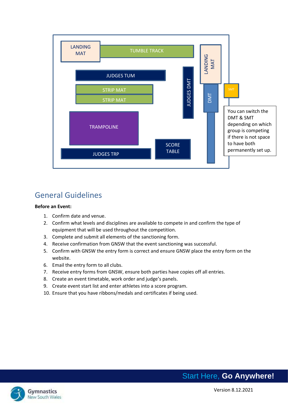

# <span id="page-4-0"></span>General Guidelines

#### **Before an Event:**

- 1. Confirm date and venue.
- 2. Confirm what levels and disciplines are available to compete in and confirm the type of equipment that will be used throughout the competition.
- 3. Complete and submit all elements of the sanctioning form.
- 4. Receive confirmation from GNSW that the event sanctioning was successful.
- 5. Confirm with GNSW the entry form is correct and ensure GNSW place the entry form on the website.
- 6. Email the entry form to all clubs.
- 7. Receive entry forms from GNSW, ensure both parties have copies off all entries.
- 8. Create an event timetable, work order and judge's panels.
- 9. Create event start list and enter athletes into a score program.
- 10. Ensure that you have ribbons/medals and certificates if being used.

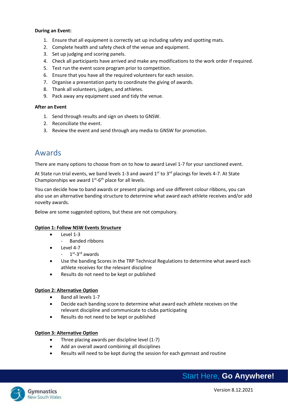#### **During an Event:**

- 1. Ensure that all equipment is correctly set up including safety and spotting mats.
- 2. Complete health and safety check of the venue and equipment.
- 3. Set up judging and scoring panels.
- 4. Check all participants have arrived and make any modifications to the work order if required.
- 5. Test run the event score program prior to competition.
- 6. Ensure that you have all the required volunteers for each session.
- 7. Organise a presentation party to coordinate the giving of awards.
- 8. Thank all volunteers, judges, and athletes.
- 9. Pack away any equipment used and tidy the venue.

#### **After an Event**

- 1. Send through results and sign on sheets to GNSW.
- 2. Reconciliate the event.
- 3. Review the event and send through any media to GNSW for promotion.

### <span id="page-5-0"></span>Awards

There are many options to choose from on to how to award Level 1-7 for your sanctioned event.

At State run trial events, we band levels 1-3 and award  $1^{st}$  to  $3^{rd}$  placings for levels 4-7. At State Championships we award  $1^{st}$ -6<sup>th</sup> place for all levels.

You can decide how to band awards or present placings and use different colour ribbons, you can also use an alternative banding structure to determine what award each athlete receives and/or add novelty awards.

Below are some suggested options, but these are not compulsory.

#### **Option 1: Follow NSW Events Structure**

- Level 1-3
	- Banded ribbons
- Level 4-7
	- 1<sup>st</sup>-3<sup>rd</sup> awards
- Use the banding Scores in the TRP Technical Regulations to determine what award each athlete receives for the relevant discipline
- Results do not need to be kept or published

#### **Option 2: Alternative Option**

- Band all levels 1-7
- Decide each banding score to determine what award each athlete receives on the relevant discipline and communicate to clubs participating
- Results do not need to be kept or published

#### **Option 3: Alternative Option**

- Three placing awards per discipline level (1-7)
- Add an overall award combining all disciplines
- Results will need to be kept during the session for each gymnast and routine



v Multiple States of the United States of the United States of the Version 8.12.2021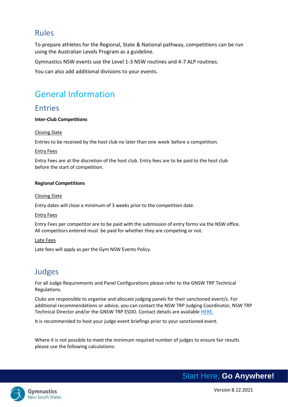### <span id="page-6-0"></span>Rules

To prepare athletes for the Regional, State & National pathway, competitions can be run using the Australian Levels Program as a guideline.

Gymnastics NSW events use the Level 1-3 NSW routines and 4-7 ALP routines.

You can also add additional divisions to your events.

# <span id="page-6-1"></span>General Information

### <span id="page-6-2"></span>Entries

#### **Inter-Club Competitions**

#### Closing Date

Entries to be received by the host club no later than one week before a competition.

#### Entry Fees

Entry Fees are at the discretion of the host club. Entry fees are to be paid to the host club before the start of competition.

#### **Regional Competitions**

#### Closing Date

Entry dates will close a minimum of 3 weeks prior to the competition date.

#### Entry Fees

Entry Fees per competitor are to be paid with the submission of entry forms via the NSW office. All competitors entered must be paid for whether they are competing or not.

#### Late Fees

Late fees will apply as per the Gym NSW Events Policy.

## <span id="page-6-3"></span>Judges

For all Judge Requirements and Panel Configurations please refer to the GNSW TRP Technical Regulations.

Clubs are responsible to organise and allocate judging panels for their sanctioned event/s. For additional recommendations or advice, you can contact the NSW TRP Judging Coordinator, NSW TRP Technical Director and/or the GNSW TRP ESDO. Contact details are available [HERE.](http://www.gymnsw.org.au/NSW/Members/Trampoline_Gymnastics/Gymsport_Committee/NSW/Gymsports/Trampoline/Trampoline_Gymsport_Committee.aspx?hkey=c39d1db0-54c3-4f6b-bb7a-17822268ae9e)

It is recommended to host your judge event briefings prior to your sanctioned event.

Where it is not possible to meet the minimum required number of judges to ensure fair results please use the following calculations:

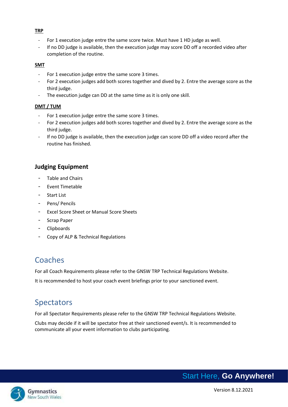#### **TRP**

- For 1 execution judge entre the same score twice. Must have 1 HD judge as well.
- If no DD judge is available, then the execution judge may score DD off a recorded video after completion of the routine.

#### **SMT**

- For 1 execution judge entre the same score 3 times.
- For 2 execution judges add both scores together and dived by 2. Entre the average score as the third judge.
- The execution judge can DD at the same time as it is only one skill.

#### **DMT / TUM**

- For 1 execution judge entre the same score 3 times.
- For 2 execution judges add both scores together and dived by 2. Entre the average score as the third judge.
- If no DD judge is available, then the execution judge can score DD off a video record after the routine has finished.

#### **Judging Equipment**

- Table and Chairs
- Event Timetable
- Start List
- Pens/ Pencils
- Excel Score Sheet or Manual Score Sheets
- Scrap Paper
- Clipboards
- Copy of ALP & Technical Regulations

## <span id="page-7-0"></span>Coaches

For all Coach Requirements please refer to the GNSW TRP Technical Regulations Website.

It is recommended to host your coach event briefings prior to your sanctioned event.

## <span id="page-7-1"></span>Spectators

For all Spectator Requirements please refer to the GNSW TRP Technical Regulations Website.

Clubs may decide if it will be spectator free at their sanctioned event/s. It is recommended to communicate all your event information to clubs participating.

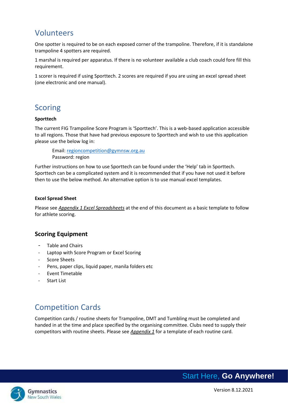### <span id="page-8-0"></span>Volunteers

One spotter is required to be on each exposed corner of the trampoline. Therefore, if it is standalone trampoline 4 spotters are required.

1 marshal is required per apparatus. If there is no volunteer available a club coach could fore fill this requirement.

1 scorer is required if using Sporttech. 2 scores are required if you are using an excel spread sheet (one electronic and one manual).

## <span id="page-8-1"></span>**Scoring**

#### **Sporttech**

The current FIG Trampoline Score Program is 'Sporttech'. This is a web-based application accessible to all regions. Those that have had previous exposure to Sporttech and wish to use this application please use the below log in:

Email: [regioncompetition@gymnsw.org.au](mailto:regioncompetition@gymnsw.org.au) Password: region

Further instructions on how to use Sporttech can be found under the 'Help' tab in Sporttech. Sporttech can be a complicated system and it is recommended that if you have not used it before then to use the below method. An alternative option is to use manual excel templates.

#### **Excel Spread Sheet**

Please see *Appendix 1 Excel Spreadsheets* at the end of this document as a basic template to follow for athlete scoring.

#### **Scoring Equipment**

- Table and Chairs
- Laptop with Score Program or Excel Scoring
- Score Sheets
- Pens, paper clips, liquid paper, manila folders etc
- Event Timetable
- **Start List**

# <span id="page-8-2"></span>Competition Cards

Competition cards / routine sheets for Trampoline, DMT and Tumbling must be completed and handed in at the time and place specified by the organising committee. Clubs need to supply their competitors with routine sheets. Please see *Appendix 1* for a template of each routine card.

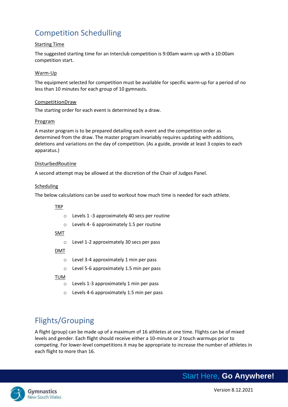# <span id="page-9-0"></span>Competition Schedulling

#### Starting Time

The suggested starting time for an Interclub competition is 9:00am warm up with a 10:00am competition start.

#### Warm-Up

The equipment selected for competition must be available for specific warm-up for a period of no less than 10 minutes for each group of 10 gymnasts.

#### CompetitionDraw

The starting order for each event is determined by a draw.

#### Program

A master program is to be prepared detailing each event and the competition order as determined from the draw. The master program invariably requires updating with additions, deletions and variations on the day of competition. (As a guide, provide at least 3 copies to each apparatus.)

#### DisturbedRoutine

A second attempt may be allowed at the discretion of the Chair of Judges Panel.

#### Scheduling

The below calculations can be used to workout how much time is needed for each athlete.

#### TRP

- o Levels 1 -3 approximately 40 secs per routine
- o Levels 4- 6 approximately 1.5 per routine

#### SMT

o Level 1-2 approximately 30 secs per pass

#### DMT

- o Level 3-4 approximately 1 min per pass
- o Level 5-6 approximately 1.5 min per pass

#### TU<u>M</u>

- o Levels 1-3 approximately 1 min per pass
- o Levels 4-6 approximately 1.5 min per pass

# <span id="page-9-1"></span>Flights/Grouping

A flight (group) can be made up of a maximum of 16 athletes at one time. Flights can be of mixed levels and gender. Each flight should receive either a 10-minute or 2 touch warmups prior to competing. For lower-level competitions it may be appropriate to increase the number of athletes in each flight to more than 16.